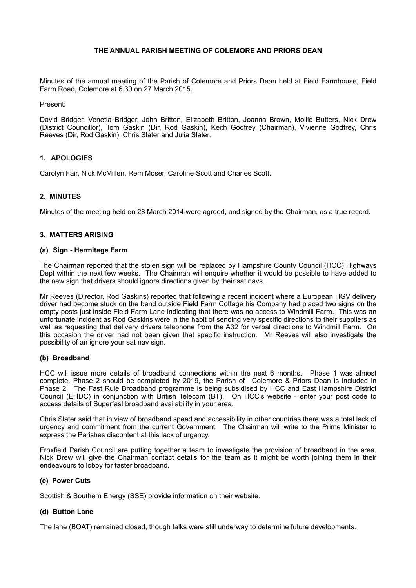## **THE ANNUAL PARISH MEETING OF COLEMORE AND PRIORS DEAN**

Minutes of the annual meeting of the Parish of Colemore and Priors Dean held at Field Farmhouse, Field Farm Road, Colemore at 6.30 on 27 March 2015.

Present:

David Bridger, Venetia Bridger, John Britton, Elizabeth Britton, Joanna Brown, Mollie Butters, Nick Drew (District Councillor), Tom Gaskin (Dir, Rod Gaskin), Keith Godfrey (Chairman), Vivienne Godfrey, Chris Reeves (Dir, Rod Gaskin), Chris Slater and Julia Slater.

## **1. APOLOGIES**

Carolyn Fair, Nick McMillen, Rem Moser, Caroline Scott and Charles Scott.

## **2. MINUTES**

Minutes of the meeting held on 28 March 2014 were agreed, and signed by the Chairman, as a true record.

## **3. MATTERS ARISING**

#### **(a) Sign - Hermitage Farm**

The Chairman reported that the stolen sign will be replaced by Hampshire County Council (HCC) Highways Dept within the next few weeks. The Chairman will enquire whether it would be possible to have added to the new sign that drivers should ignore directions given by their sat navs.

Mr Reeves (Director, Rod Gaskins) reported that following a recent incident where a European HGV delivery driver had become stuck on the bend outside Field Farm Cottage his Company had placed two signs on the empty posts just inside Field Farm Lane indicating that there was no access to Windmill Farm. This was an unfortunate incident as Rod Gaskins were in the habit of sending very specific directions to their suppliers as well as requesting that delivery drivers telephone from the A32 for verbal directions to Windmill Farm. On this occasion the driver had not been given that specific instruction. Mr Reeves will also investigate the possibility of an ignore your sat nav sign.

#### **(b) Broadband**

HCC will issue more details of broadband connections within the next 6 months. Phase 1 was almost complete, Phase 2 should be completed by 2019, the Parish of Colemore & Priors Dean is included in Phase 2. The Fast Rule Broadband programme is being subsidised by HCC and East Hampshire District Council (EHDC) in conjunction with British Telecom (BT). On HCC's website - enter your post code to access details of Superfast broadband availability in your area.

Chris Slater said that in view of broadband speed and accessibility in other countries there was a total lack of urgency and commitment from the current Government. The Chairman will write to the Prime Minister to express the Parishes discontent at this lack of urgency.

Froxfield Parish Council are putting together a team to investigate the provision of broadband in the area. Nick Drew will give the Chairman contact details for the team as it might be worth joining them in their endeavours to lobby for faster broadband.

#### **(c) Power Cuts**

Scottish & Southern Energy (SSE) provide information on their website.

#### **(d) Button Lane**

The lane (BOAT) remained closed, though talks were still underway to determine future developments.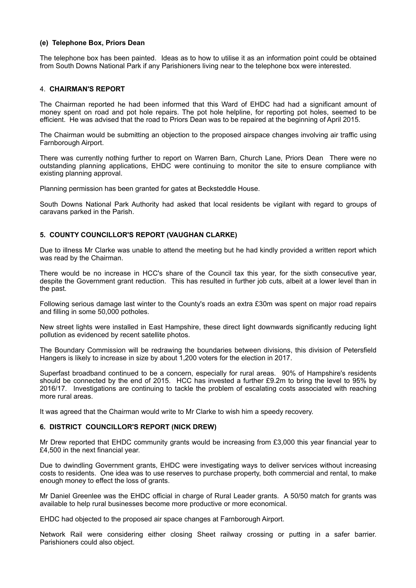#### **(e) Telephone Box, Priors Dean**

The telephone box has been painted. Ideas as to how to utilise it as an information point could be obtained from South Downs National Park if any Parishioners living near to the telephone box were interested.

#### 4. **CHAIRMAN'S REPORT**

The Chairman reported he had been informed that this Ward of EHDC had had a significant amount of money spent on road and pot hole repairs. The pot hole helpline, for reporting pot holes, seemed to be efficient. He was advised that the road to Priors Dean was to be repaired at the beginning of April 2015.

The Chairman would be submitting an objection to the proposed airspace changes involving air traffic using Farnborough Airport.

There was currently nothing further to report on Warren Barn, Church Lane, Priors Dean There were no outstanding planning applications, EHDC were continuing to monitor the site to ensure compliance with existing planning approval.

Planning permission has been granted for gates at Becksteddle House.

South Downs National Park Authority had asked that local residents be vigilant with regard to groups of caravans parked in the Parish.

## **5. COUNTY COUNCILLOR'S REPORT (VAUGHAN CLARKE)**

Due to illness Mr Clarke was unable to attend the meeting but he had kindly provided a written report which was read by the Chairman.

There would be no increase in HCC's share of the Council tax this year, for the sixth consecutive year, despite the Government grant reduction. This has resulted in further job cuts, albeit at a lower level than in the past.

Following serious damage last winter to the County's roads an extra £30m was spent on major road repairs and filling in some 50,000 potholes.

New street lights were installed in East Hampshire, these direct light downwards significantly reducing light pollution as evidenced by recent satellite photos.

The Boundary Commission will be redrawing the boundaries between divisions, this division of Petersfield Hangers is likely to increase in size by about 1,200 voters for the election in 2017.

Superfast broadband continued to be a concern, especially for rural areas. 90% of Hampshire's residents should be connected by the end of 2015. HCC has invested a further £9.2m to bring the level to 95% by 2016/17. Investigations are continuing to tackle the problem of escalating costs associated with reaching more rural areas.

It was agreed that the Chairman would write to Mr Clarke to wish him a speedy recovery.

#### **6. DISTRICT COUNCILLOR'S REPORT (NICK DREW)**

Mr Drew reported that EHDC community grants would be increasing from £3,000 this year financial year to £4,500 in the next financial year.

Due to dwindling Government grants, EHDC were investigating ways to deliver services without increasing costs to residents. One idea was to use reserves to purchase property, both commercial and rental, to make enough money to effect the loss of grants.

Mr Daniel Greenlee was the EHDC official in charge of Rural Leader grants. A 50/50 match for grants was available to help rural businesses become more productive or more economical.

EHDC had objected to the proposed air space changes at Farnborough Airport.

Network Rail were considering either closing Sheet railway crossing or putting in a safer barrier. Parishioners could also object.